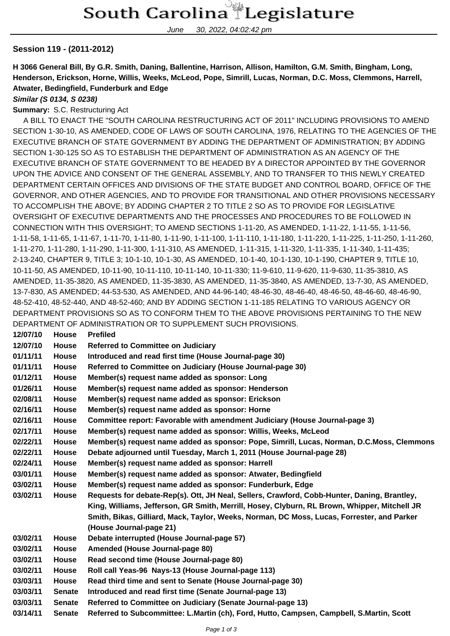June 30, 2022, 04:02:42 pm

### **Session 119 - (2011-2012)**

**H 3066 General Bill, By G.R. Smith, Daning, Ballentine, Harrison, Allison, Hamilton, G.M. Smith, Bingham, Long, Henderson, Erickson, Horne, Willis, Weeks, McLeod, Pope, Simrill, Lucas, Norman, D.C. Moss, Clemmons, Harrell, Atwater, Bedingfield, Funderburk and Edge**

#### **Similar (S 0134, S 0238)**

#### **Summary:** S.C. Restructuring Act

 A BILL TO ENACT THE "SOUTH CAROLINA RESTRUCTURING ACT OF 2011" INCLUDING PROVISIONS TO AMEND SECTION 1-30-10, AS AMENDED, CODE OF LAWS OF SOUTH CAROLINA, 1976, RELATING TO THE AGENCIES OF THE EXECUTIVE BRANCH OF STATE GOVERNMENT BY ADDING THE DEPARTMENT OF ADMINISTRATION; BY ADDING SECTION 1-30-125 SO AS TO ESTABLISH THE DEPARTMENT OF ADMINISTRATION AS AN AGENCY OF THE EXECUTIVE BRANCH OF STATE GOVERNMENT TO BE HEADED BY A DIRECTOR APPOINTED BY THE GOVERNOR UPON THE ADVICE AND CONSENT OF THE GENERAL ASSEMBLY, AND TO TRANSFER TO THIS NEWLY CREATED DEPARTMENT CERTAIN OFFICES AND DIVISIONS OF THE STATE BUDGET AND CONTROL BOARD, OFFICE OF THE GOVERNOR, AND OTHER AGENCIES, AND TO PROVIDE FOR TRANSITIONAL AND OTHER PROVISIONS NECESSARY TO ACCOMPLISH THE ABOVE; BY ADDING CHAPTER 2 TO TITLE 2 SO AS TO PROVIDE FOR LEGISLATIVE OVERSIGHT OF EXECUTIVE DEPARTMENTS AND THE PROCESSES AND PROCEDURES TO BE FOLLOWED IN CONNECTION WITH THIS OVERSIGHT; TO AMEND SECTIONS 1-11-20, AS AMENDED, 1-11-22, 1-11-55, 1-11-56, 1-11-58, 1-11-65, 1-11-67, 1-11-70, 1-11-80, 1-11-90, 1-11-100, 1-11-110, 1-11-180, 1-11-220, 1-11-225, 1-11-250, 1-11-260, 1-11-270, 1-11-280, 1-11-290, 1-11-300, 1-11-310, AS AMENDED, 1-11-315, 1-11-320, 1-11-335, 1-11-340, 1-11-435; 2-13-240, CHAPTER 9, TITLE 3; 10-1-10, 10-1-30, AS AMENDED, 10-1-40, 10-1-130, 10-1-190, CHAPTER 9, TITLE 10, 10-11-50, AS AMENDED, 10-11-90, 10-11-110, 10-11-140, 10-11-330; 11-9-610, 11-9-620, 11-9-630, 11-35-3810, AS AMENDED, 11-35-3820, AS AMENDED, 11-35-3830, AS AMENDED, 11-35-3840, AS AMENDED, 13-7-30, AS AMENDED, 13-7-830, AS AMENDED; 44-53-530, AS AMENDED, AND 44-96-140; 48-46-30, 48-46-40, 48-46-50, 48-46-60, 48-46-90, 48-52-410, 48-52-440, AND 48-52-460; AND BY ADDING SECTION 1-11-185 RELATING TO VARIOUS AGENCY OR DEPARTMENT PROVISIONS SO AS TO CONFORM THEM TO THE ABOVE PROVISIONS PERTAINING TO THE NEW DEPARTMENT OF ADMINISTRATION OR TO SUPPLEMENT SUCH PROVISIONS.

| 12/07/10 | <b>House</b>  | <b>Prefiled</b>                                                                              |
|----------|---------------|----------------------------------------------------------------------------------------------|
| 12/07/10 | <b>House</b>  | <b>Referred to Committee on Judiciary</b>                                                    |
| 01/11/11 | House         | Introduced and read first time (House Journal-page 30)                                       |
| 01/11/11 | <b>House</b>  | Referred to Committee on Judiciary (House Journal-page 30)                                   |
| 01/12/11 | <b>House</b>  | Member(s) request name added as sponsor: Long                                                |
| 01/26/11 | House         | Member(s) request name added as sponsor: Henderson                                           |
| 02/08/11 | House         | Member(s) request name added as sponsor: Erickson                                            |
| 02/16/11 | <b>House</b>  | Member(s) request name added as sponsor: Horne                                               |
| 02/16/11 | House         | Committee report: Favorable with amendment Judiciary (House Journal-page 3)                  |
| 02/17/11 | <b>House</b>  | Member(s) request name added as sponsor: Willis, Weeks, McLeod                               |
| 02/22/11 | <b>House</b>  | Member(s) request name added as sponsor: Pope, Simrill, Lucas, Norman, D.C.Moss, Clemmons    |
| 02/22/11 | House         | Debate adjourned until Tuesday, March 1, 2011 (House Journal-page 28)                        |
| 02/24/11 | <b>House</b>  | Member(s) request name added as sponsor: Harrell                                             |
| 03/01/11 | <b>House</b>  | Member(s) request name added as sponsor: Atwater, Bedingfield                                |
| 03/02/11 | <b>House</b>  | Member(s) request name added as sponsor: Funderburk, Edge                                    |
| 03/02/11 | <b>House</b>  | Requests for debate-Rep(s). Ott, JH Neal, Sellers, Crawford, Cobb-Hunter, Daning, Brantley,  |
|          |               | King, Williams, Jefferson, GR Smith, Merrill, Hosey, Clyburn, RL Brown, Whipper, Mitchell JR |
|          |               | Smith, Bikas, Gilliard, Mack, Taylor, Weeks, Norman, DC Moss, Lucas, Forrester, and Parker   |
|          |               | (House Journal-page 21)                                                                      |
| 03/02/11 | <b>House</b>  | Debate interrupted (House Journal-page 57)                                                   |
| 03/02/11 | <b>House</b>  | Amended (House Journal-page 80)                                                              |
| 03/02/11 | House         | Read second time (House Journal-page 80)                                                     |
| 03/02/11 | <b>House</b>  | Roll call Yeas-96 Nays-13 (House Journal-page 113)                                           |
| 03/03/11 | House         | Read third time and sent to Senate (House Journal-page 30)                                   |
| 03/03/11 | <b>Senate</b> | Introduced and read first time (Senate Journal-page 13)                                      |
| 03/03/11 | <b>Senate</b> | Referred to Committee on Judiciary (Senate Journal-page 13)                                  |
| 03/14/11 | <b>Senate</b> | Referred to Subcommittee: L.Martin (ch), Ford, Hutto, Campsen, Campbell, S.Martin, Scott     |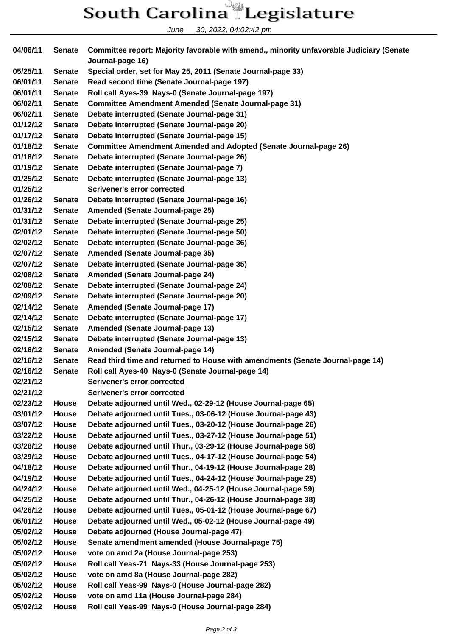## South Carolina Legislature

June 30, 2022, 04:02:42 pm

**04/06/11 Senate Committee report: Majority favorable with amend., minority unfavorable Judiciary (Senate Journal-page 16) 05/25/11 Senate Special order, set for May 25, 2011 (Senate Journal-page 33) 06/01/11 Senate Read second time (Senate Journal-page 197) 06/01/11 Senate Roll call Ayes-39 Nays-0 (Senate Journal-page 197) 06/02/11 Senate Committee Amendment Amended (Senate Journal-page 31) 06/02/11 Senate Debate interrupted (Senate Journal-page 31) 01/12/12 Senate Debate interrupted (Senate Journal-page 20) 01/17/12 Senate Debate interrupted (Senate Journal-page 15) 01/18/12 Senate Committee Amendment Amended and Adopted (Senate Journal-page 26) 01/18/12 Senate Debate interrupted (Senate Journal-page 26) 01/19/12 Senate Debate interrupted (Senate Journal-page 7) 01/25/12 Senate Debate interrupted (Senate Journal-page 13) 01/25/12 Scrivener's error corrected 01/26/12 Senate Debate interrupted (Senate Journal-page 16) 01/31/12 Senate Amended (Senate Journal-page 25) 01/31/12 Senate Debate interrupted (Senate Journal-page 25) 02/01/12 Senate Debate interrupted (Senate Journal-page 50) 02/02/12 Senate Debate interrupted (Senate Journal-page 36) 02/07/12 Senate Amended (Senate Journal-page 35) 02/07/12 Senate Debate interrupted (Senate Journal-page 35) 02/08/12 Senate Amended (Senate Journal-page 24) 02/08/12 Senate Debate interrupted (Senate Journal-page 24) 02/09/12 Senate Debate interrupted (Senate Journal-page 20) 02/14/12 Senate Amended (Senate Journal-page 17) 02/14/12 Senate Debate interrupted (Senate Journal-page 17) 02/15/12 Senate Amended (Senate Journal-page 13) 02/15/12 Senate Debate interrupted (Senate Journal-page 13) 02/16/12 Senate Amended (Senate Journal-page 14) 02/16/12 Senate Read third time and returned to House with amendments (Senate Journal-page 14) 02/16/12 Senate Roll call Ayes-40 Nays-0 (Senate Journal-page 14) 02/21/12 Scrivener's error corrected 02/21/12 Scrivener's error corrected 02/23/12 House Debate adjourned until Wed., 02-29-12 (House Journal-page 65) 03/01/12 House Debate adjourned until Tues., 03-06-12 (House Journal-page 43) 03/07/12 House Debate adjourned until Tues., 03-20-12 (House Journal-page 26) 03/22/12 House Debate adjourned until Tues., 03-27-12 (House Journal-page 51) 03/28/12 House Debate adjourned until Thur., 03-29-12 (House Journal-page 58) 03/29/12 House Debate adjourned until Tues., 04-17-12 (House Journal-page 54) 04/18/12 House Debate adjourned until Thur., 04-19-12 (House Journal-page 28) 04/19/12 House Debate adjourned until Tues., 04-24-12 (House Journal-page 29) 04/24/12 House Debate adjourned until Wed., 04-25-12 (House Journal-page 59) 04/25/12 House Debate adjourned until Thur., 04-26-12 (House Journal-page 38) 04/26/12 House Debate adjourned until Tues., 05-01-12 (House Journal-page 67) 05/01/12 House Debate adjourned until Wed., 05-02-12 (House Journal-page 49) 05/02/12 House Debate adjourned (House Journal-page 47) 05/02/12 House Senate amendment amended (House Journal-page 75) 05/02/12 House vote on amd 2a (House Journal-page 253) 05/02/12 House Roll call Yeas-71 Nays-33 (House Journal-page 253) 05/02/12 House vote on amd 8a (House Journal-page 282) 05/02/12 House Roll call Yeas-99 Nays-0 (House Journal-page 282) 05/02/12 House vote on amd 11a (House Journal-page 284) 05/02/12 House Roll call Yeas-99 Nays-0 (House Journal-page 284)**